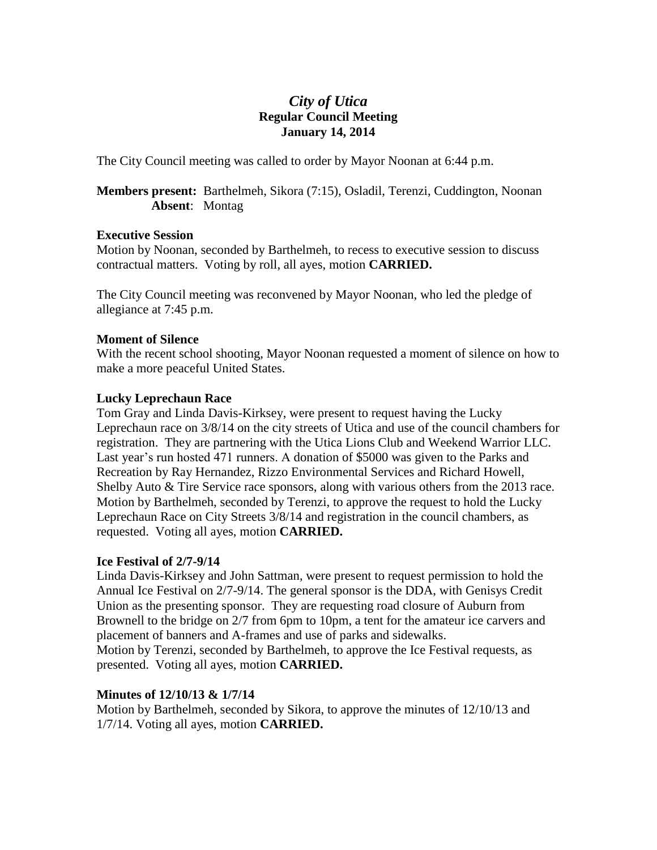# *City of Utica* **Regular Council Meeting January 14, 2014**

The City Council meeting was called to order by Mayor Noonan at 6:44 p.m.

**Members present:** Barthelmeh, Sikora (7:15), Osladil, Terenzi, Cuddington, Noonan **Absent**: Montag

### **Executive Session**

Motion by Noonan, seconded by Barthelmeh, to recess to executive session to discuss contractual matters. Voting by roll, all ayes, motion **CARRIED.**

The City Council meeting was reconvened by Mayor Noonan, who led the pledge of allegiance at 7:45 p.m.

## **Moment of Silence**

With the recent school shooting, Mayor Noonan requested a moment of silence on how to make a more peaceful United States.

## **Lucky Leprechaun Race**

Tom Gray and Linda Davis-Kirksey, were present to request having the Lucky Leprechaun race on 3/8/14 on the city streets of Utica and use of the council chambers for registration. They are partnering with the Utica Lions Club and Weekend Warrior LLC. Last year's run hosted 471 runners. A donation of \$5000 was given to the Parks and Recreation by Ray Hernandez, Rizzo Environmental Services and Richard Howell, Shelby Auto & Tire Service race sponsors, along with various others from the 2013 race. Motion by Barthelmeh, seconded by Terenzi, to approve the request to hold the Lucky Leprechaun Race on City Streets 3/8/14 and registration in the council chambers, as requested. Voting all ayes, motion **CARRIED.**

## **Ice Festival of 2/7-9/14**

Linda Davis-Kirksey and John Sattman, were present to request permission to hold the Annual Ice Festival on 2/7-9/14. The general sponsor is the DDA, with Genisys Credit Union as the presenting sponsor. They are requesting road closure of Auburn from Brownell to the bridge on 2/7 from 6pm to 10pm, a tent for the amateur ice carvers and placement of banners and A-frames and use of parks and sidewalks. Motion by Terenzi, seconded by Barthelmeh, to approve the Ice Festival requests, as

presented. Voting all ayes, motion **CARRIED.**

## **Minutes of 12/10/13 & 1/7/14**

Motion by Barthelmeh, seconded by Sikora, to approve the minutes of 12/10/13 and 1/7/14. Voting all ayes, motion **CARRIED.**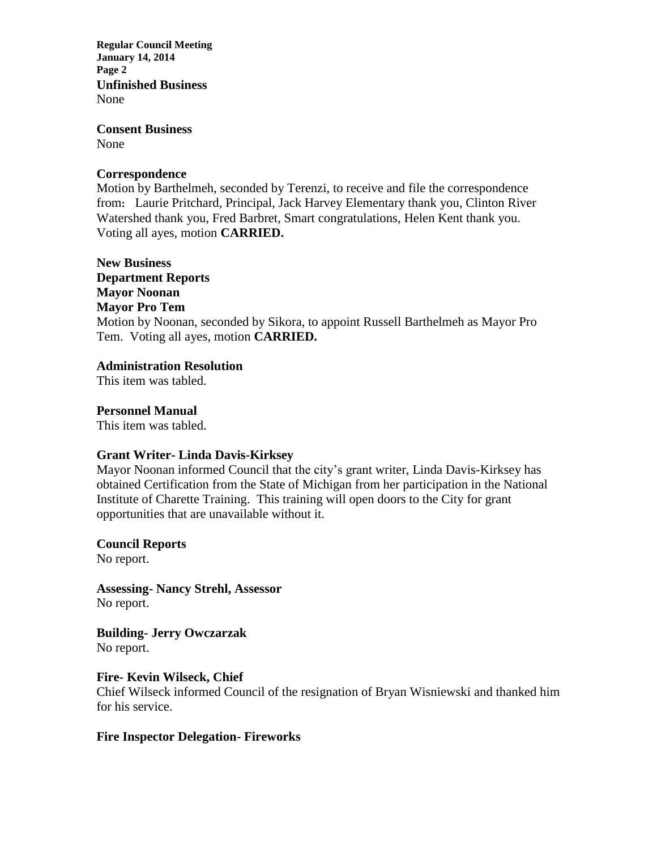**Regular Council Meeting January 14, 2014 Page 2 Unfinished Business** None

**Consent Business** None

#### **Correspondence**

Motion by Barthelmeh, seconded by Terenzi, to receive and file the correspondence from**:** Laurie Pritchard, Principal, Jack Harvey Elementary thank you, Clinton River Watershed thank you, Fred Barbret, Smart congratulations, Helen Kent thank you. Voting all ayes, motion **CARRIED.**

**New Business Department Reports Mayor Noonan Mayor Pro Tem** Motion by Noonan, seconded by Sikora, to appoint Russell Barthelmeh as Mayor Pro Tem. Voting all ayes, motion **CARRIED.**

#### **Administration Resolution**

This item was tabled.

**Personnel Manual**

This item was tabled.

#### **Grant Writer- Linda Davis-Kirksey**

Mayor Noonan informed Council that the city's grant writer, Linda Davis-Kirksey has obtained Certification from the State of Michigan from her participation in the National Institute of Charette Training. This training will open doors to the City for grant opportunities that are unavailable without it.

#### **Council Reports**

No report.

**Assessing- Nancy Strehl, Assessor** No report.

**Building- Jerry Owczarzak** No report.

**Fire- Kevin Wilseck, Chief**

Chief Wilseck informed Council of the resignation of Bryan Wisniewski and thanked him for his service.

### **Fire Inspector Delegation- Fireworks**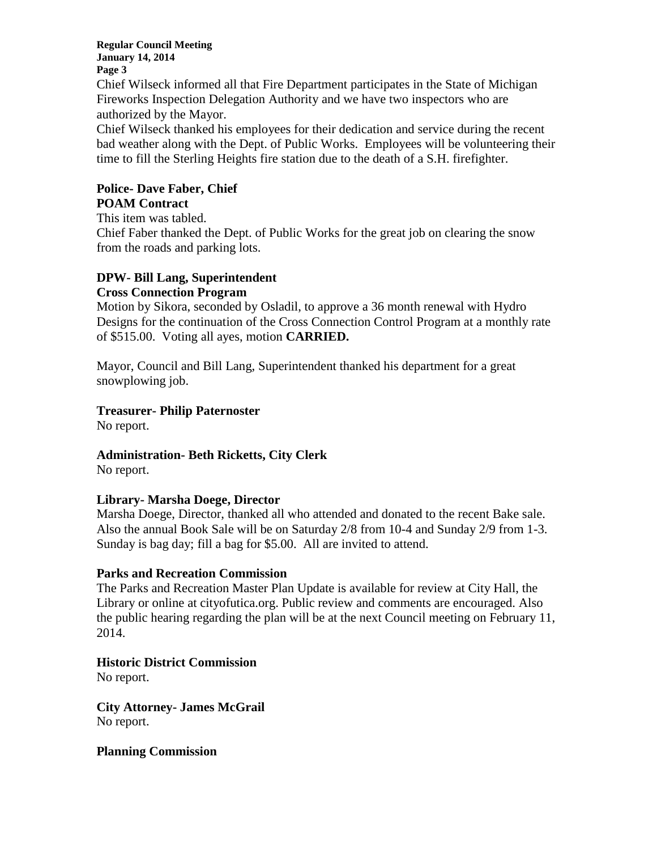**Regular Council Meeting January 14, 2014 Page 3**

Chief Wilseck informed all that Fire Department participates in the State of Michigan Fireworks Inspection Delegation Authority and we have two inspectors who are authorized by the Mayor.

Chief Wilseck thanked his employees for their dedication and service during the recent bad weather along with the Dept. of Public Works. Employees will be volunteering their time to fill the Sterling Heights fire station due to the death of a S.H. firefighter.

### **Police- Dave Faber, Chief POAM Contract**

This item was tabled.

Chief Faber thanked the Dept. of Public Works for the great job on clearing the snow from the roads and parking lots.

# **DPW- Bill Lang, Superintendent Cross Connection Program**

Motion by Sikora, seconded by Osladil, to approve a 36 month renewal with Hydro Designs for the continuation of the Cross Connection Control Program at a monthly rate of \$515.00. Voting all ayes, motion **CARRIED.**

Mayor, Council and Bill Lang, Superintendent thanked his department for a great snowplowing job.

# **Treasurer- Philip Paternoster**

No report.

**Administration- Beth Ricketts, City Clerk**

No report.

# **Library- Marsha Doege, Director**

Marsha Doege, Director, thanked all who attended and donated to the recent Bake sale. Also the annual Book Sale will be on Saturday 2/8 from 10-4 and Sunday 2/9 from 1-3. Sunday is bag day; fill a bag for \$5.00. All are invited to attend.

# **Parks and Recreation Commission**

The Parks and Recreation Master Plan Update is available for review at City Hall, the Library or online at cityofutica.org. Public review and comments are encouraged. Also the public hearing regarding the plan will be at the next Council meeting on February 11, 2014.

# **Historic District Commission**

No report.

**City Attorney- James McGrail** No report.

**Planning Commission**